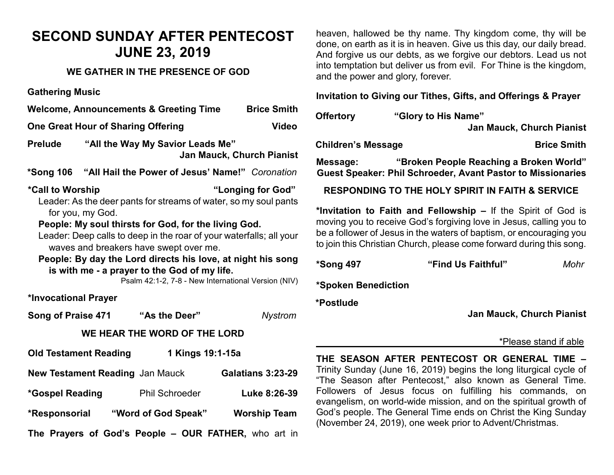# **SECOND SUNDAY AFTER PENTECOST JUNE 23, 2019**

### **WE GATHER IN THE PRESENCE OF GOD**

**Gathering Music**

| <b>Welcome, Announcements &amp; Greeting Time</b> | <b>Brice Smith</b> |
|---------------------------------------------------|--------------------|
|---------------------------------------------------|--------------------|

**One Great Hour of Sharing Offering Cone Change Cone Change Change Change Change Change Change Change Change Change Change Change Change Change Change Change Change Change Change Change Change Change Change Change Change C** 

**Prelude "All the Way My Savior Leads Me" Jan Mauck, Church Pianist**

**\*Song 106 "All Hail the Power of Jesus' Name!"** *Coronation*

**\*Call to Worship "Longing for God"**  Leader: As the deer pants for streams of water, so my soul pants for you, my God.

**People: My soul thirsts for God, for the living God.** 

Leader: Deep calls to deep in the roar of your waterfalls; all your waves and breakers have swept over me.

**People: By day the Lord directs his love, at night his song is with me - a prayer to the God of my life.**

Psalm 42:1-2, 7-8 - New International Version (NIV)

#### **\*Invocational Prayer**

**Song of Praise 471 "As the Deer"** *Nystrom*

## **WE HEAR THE WORD OF THE LORD**

| <b>Old Testament Reading</b>                         | 1 Kings 19:1-15a      |                     |
|------------------------------------------------------|-----------------------|---------------------|
| <b>New Testament Reading Jan Mauck</b>               |                       | Galatians 3:23-29   |
| <i><b>*Gospel Reading</b></i>                        | <b>Phil Schroeder</b> | Luke 8:26-39        |
| *Responsorial                                        | "Word of God Speak"   | <b>Worship Team</b> |
| The Prayers of God's People - OUR FATHER, who art in |                       |                     |

heaven, hallowed be thy name. Thy kingdom come, thy will be done, on earth as it is in heaven. Give us this day, our daily bread. And forgive us our debts, as we forgive our debtors. Lead us not into temptation but deliver us from evil. For Thine is the kingdom, and the power and glory, forever.

#### **Invitation to Giving our Tithes, Gifts, and Offerings & Prayer**

| <b>Offertory</b>          | "Glory to His Name"              |                    |
|---------------------------|----------------------------------|--------------------|
|                           | <b>Jan Mauck, Church Pianist</b> |                    |
| <b>Children's Message</b> |                                  | <b>Brice Smith</b> |

**Message: "Broken People Reaching a Broken World" Guest Speaker: Phil Schroeder, Avant Pastor to Missionaries**

**RESPONDING TO THE HOLY SPIRIT IN FAITH & SERVICE**

**\*Invitation to Faith and Fellowship –** If the Spirit of God is moving you to receive God's forgiving love in Jesus, calling you to be a follower of Jesus in the waters of baptism, or encouraging you to join this Christian Church, please come forward during this song.

| *Song 497           | "Find Us Faithful" | Mohr |
|---------------------|--------------------|------|
| *Spoken Benediction |                    |      |

**\*Postlude** 

**Jan Mauck, Church Pianist**

#### \*Please stand if able

**THE SEASON AFTER PENTECOST OR GENERAL TIME –** Trinity Sunday (June 16, 2019) begins the long liturgical cycle of "The Season after Pentecost," also known as General Time. Followers of Jesus focus on fulfilling his commands, on evangelism, on world-wide mission, and on the spiritual growth of God's people. The General Time ends on Christ the King Sunday (November 24, 2019), one week prior to Advent/Christmas.